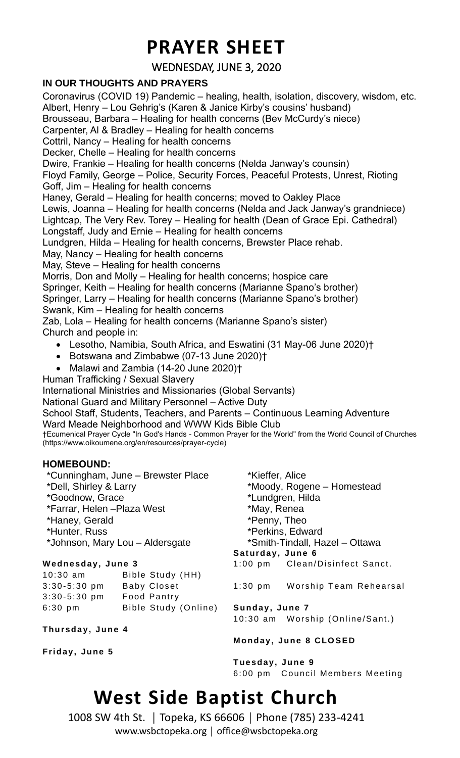## **PRAYER SHEET**

## WEDNESDAY, JUNE 3, 2020

### **IN OUR THOUGHTS AND PRAYERS**

3: 30- 5:3 0 pm Ba by Clos et 3: 30- 5:3 0 pm Foo d Pa ntry

**Thurs da y, J une 4**

**Friday, June 5**

6:30 pm Bible Study (Online)

Coronavirus (COVID 19) Pandemic – healing, health, isolation, discovery, wisdom, etc. Albert, Henry – Lou Gehrig's (Karen & Janice Kirby's cousins' husband) Brousseau, Barbara – Healing for health concerns (Bev McCurdy's niece) Carpenter, Al & Bradley – Healing for health concerns Cottril, Nancy – Healing for health concerns Decker, Chelle – Healing for health concerns Dwire, Frankie – Healing for health concerns (Nelda Janway's counsin) Floyd Family, George – Police, Security Forces, Peaceful Protests, Unrest, Rioting Goff, Jim – Healing for health concerns Haney, Gerald – Healing for health concerns; moved to Oakley Place Lewis, Joanna – Healing for health concerns (Nelda and Jack Janway's grandniece) Lightcap, The Very Rev. Torey – Healing for health (Dean of Grace Epi. Cathedral) Longstaff, Judy and Ernie – Healing for health concerns Lundgren, Hilda – Healing for health concerns, Brewster Place rehab. May, Nancy – Healing for health concerns May, Steve – Healing for health concerns Morris, Don and Molly – Healing for health concerns; hospice care Springer, Keith – Healing for health concerns (Marianne Spano's brother) Springer, Larry – Healing for health concerns (Marianne Spano's brother) Swank, Kim – Healing for health concerns Zab, Lola – Healing for health concerns (Marianne Spano's sister) Church and people in: • Lesotho, Namibia, South Africa, and Eswatini (31 May-06 June 2020)† • Botswana and Zimbabwe (07-13 June 2020)† • Malawi and Zambia (14-20 June 2020)† Human Trafficking / Sexual Slavery International Ministries and Missionaries (Global Servants) National Guard and Military Personnel – Active Duty School Staff, Students, Teachers, and Parents – Continuous Learning Adventure Ward Meade Neighborhood and WWW Kids Bible Club †Ecumenical Prayer Cycle "In God's Hands - Common Prayer for the World" from the World Council of Churches (https://www.oikoumene.org/en/resources/prayer-cycle) **HOMEBOUND:** \*Cunningham, June – Brewster Place \*Dell, Shirley & Larry \*Goodnow, Grace \*Farrar, Helen –Plaza West \*Haney, Gerald \*Hunter, Russ \*Johnson, Mary Lou – Aldersgate \*Kieffer, Alice \*Moody, Rogene – Homestead \*Lundgren, Hilda \*May, Renea \*Penny, Theo \*Perkins, Edward \*Smith-Tindall, Hazel – Ottawa **W ednes da y, J une 3** 10:30 am Bible Study (HH) **Sat urday, June 6** 1:00 pm Clean/Disinfect Sanct.

| $1:30$ pm |  |  | Worship Team Rehearsal |
|-----------|--|--|------------------------|
|-----------|--|--|------------------------|

**Sunday, June 7** 10:30 am Worship (Online/Sant.)

#### **Monday, June 8 CLO SED**

**Tue sday, June 9** 6:00 pm Council Members Meeting

## **West Side Baptist Church**

1008 SW 4th St. │ Topeka, KS 66606 │ Phone (785) 233-4241 www.wsbctopeka.org │ office@wsbctopeka.org